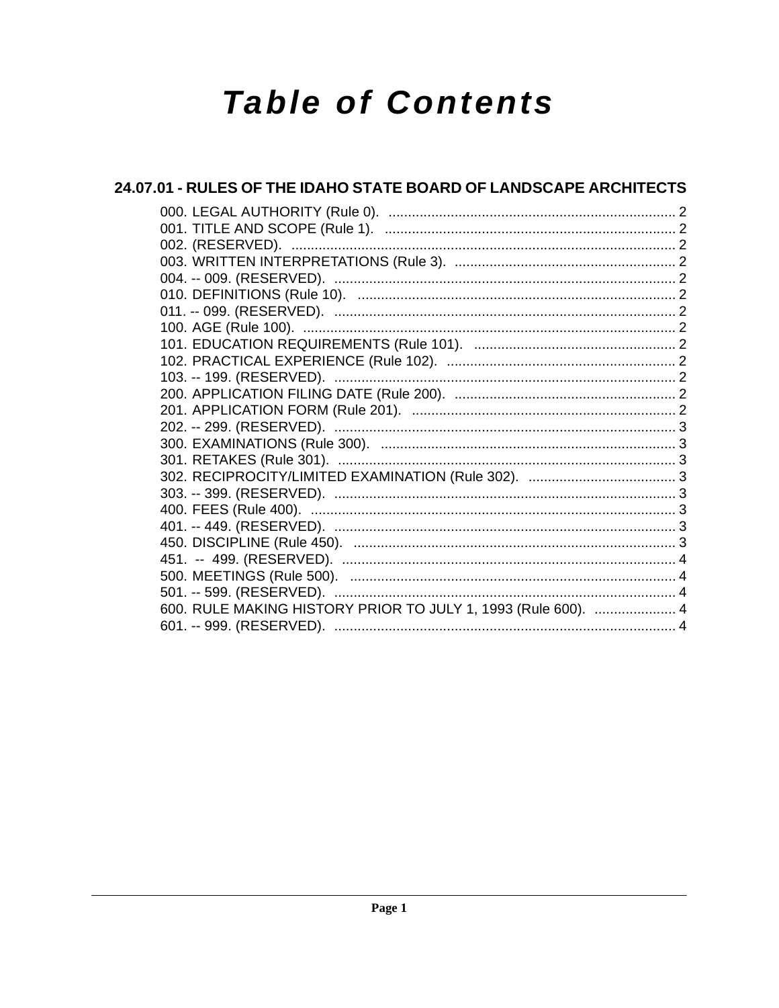# **Table of Contents**

| 24.07.01 - RULES OF THE IDAHO STATE BOARD OF LANDSCAPE ARCHITECTS |
|-------------------------------------------------------------------|
|                                                                   |
|                                                                   |
|                                                                   |
|                                                                   |
|                                                                   |
|                                                                   |
|                                                                   |
|                                                                   |
|                                                                   |
|                                                                   |
|                                                                   |
|                                                                   |
|                                                                   |
|                                                                   |
|                                                                   |
|                                                                   |
|                                                                   |
|                                                                   |
|                                                                   |
|                                                                   |
|                                                                   |
|                                                                   |
|                                                                   |
| 600. RULE MAKING HISTORY PRIOR TO JULY 1, 1993 (Rule 600).  4     |
|                                                                   |
|                                                                   |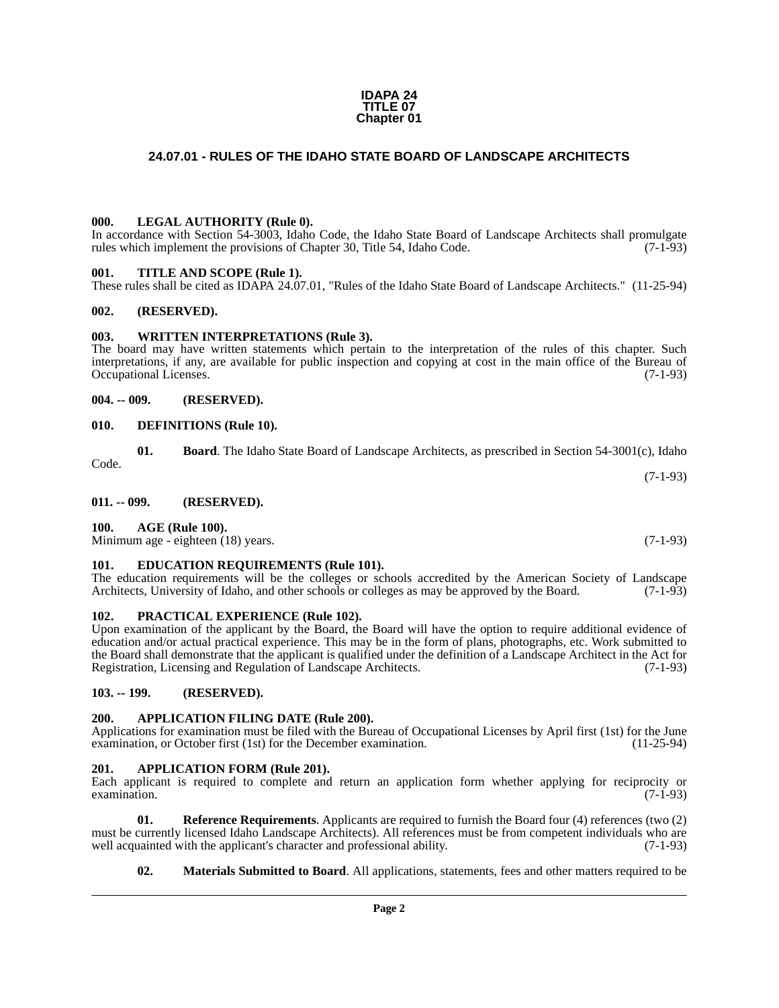#### **IDAPA 24 TITLE 07 Chapter 01**

## <span id="page-1-0"></span>**24.07.01 - RULES OF THE IDAHO STATE BOARD OF LANDSCAPE ARCHITECTS**

#### <span id="page-1-1"></span>**000. LEGAL AUTHORITY (Rule 0).**

In accordance with Section 54-3003, Idaho Code, the Idaho State Board of Landscape Architects shall promulgate rules which implement the provisions of Chapter 30, Title 54, Idaho Code. (7-1-93)

#### <span id="page-1-2"></span>**001. TITLE AND SCOPE (Rule 1).**

These rules shall be cited as IDAPA 24.07.01, "Rules of the Idaho State Board of Landscape Architects." (11-25-94)

#### <span id="page-1-3"></span>**002. (RESERVED).**

#### <span id="page-1-4"></span>**003. WRITTEN INTERPRETATIONS (Rule 3).**

The board may have written statements which pertain to the interpretation of the rules of this chapter. Such interpretations, if any, are available for public inspection and copying at cost in the main office of the Bureau of Occupational Licenses. (7-1-93)

#### <span id="page-1-5"></span>**004. -- 009. (RESERVED).**

#### <span id="page-1-6"></span>**010. DEFINITIONS (Rule 10).**

|       | Board. The Idaho State Board of Landscape Architects, as prescribed in Section 54-3001(c), Idaho |
|-------|--------------------------------------------------------------------------------------------------|
| Code. |                                                                                                  |

<span id="page-1-7"></span>**011. -- 099. (RESERVED).**

#### <span id="page-1-8"></span>**100. AGE (Rule 100).**

Minimum age - eighteen (18) years. (7-1-93)

#### <span id="page-1-9"></span>**101. EDUCATION REQUIREMENTS (Rule 101).**

The education requirements will be the colleges or schools accredited by the American Society of Landscape Architects, University of Idaho, and other schools or colleges as may be approved by the Board. (7-1-93)

#### <span id="page-1-10"></span>**102. PRACTICAL EXPERIENCE (Rule 102).**

Upon examination of the applicant by the Board, the Board will have the option to require additional evidence of education and/or actual practical experience. This may be in the form of plans, photographs, etc. Work submitted to the Board shall demonstrate that the applicant is qualified under the definition of a Landscape Architect in the Act for Registration, Licensing and Regulation of Landscape Architects. (7-1-93)

#### <span id="page-1-11"></span>**103. -- 199. (RESERVED).**

#### <span id="page-1-12"></span>**200. APPLICATION FILING DATE (Rule 200).**

Applications for examination must be filed with the Bureau of Occupational Licenses by April first (1st) for the June examination, or October first (1st) for the December examination. (11-25-94) examination, or October first (1st) for the December examination.

#### <span id="page-1-13"></span>**201. APPLICATION FORM (Rule 201).**

Each applicant is required to complete and return an application form whether applying for reciprocity or  $\alpha$  examination.  $(7-1-93)$ 

**01. Reference Requirements**. Applicants are required to furnish the Board four (4) references (two (2) must be currently licensed Idaho Landscape Architects). All references must be from competent individuals who are well acquainted with the applicant's character and professional ability. (7-1-93) well acquainted with the applicant's character and professional ability.

**02. Materials Submitted to Board**. All applications, statements, fees and other matters required to be

(7-1-93)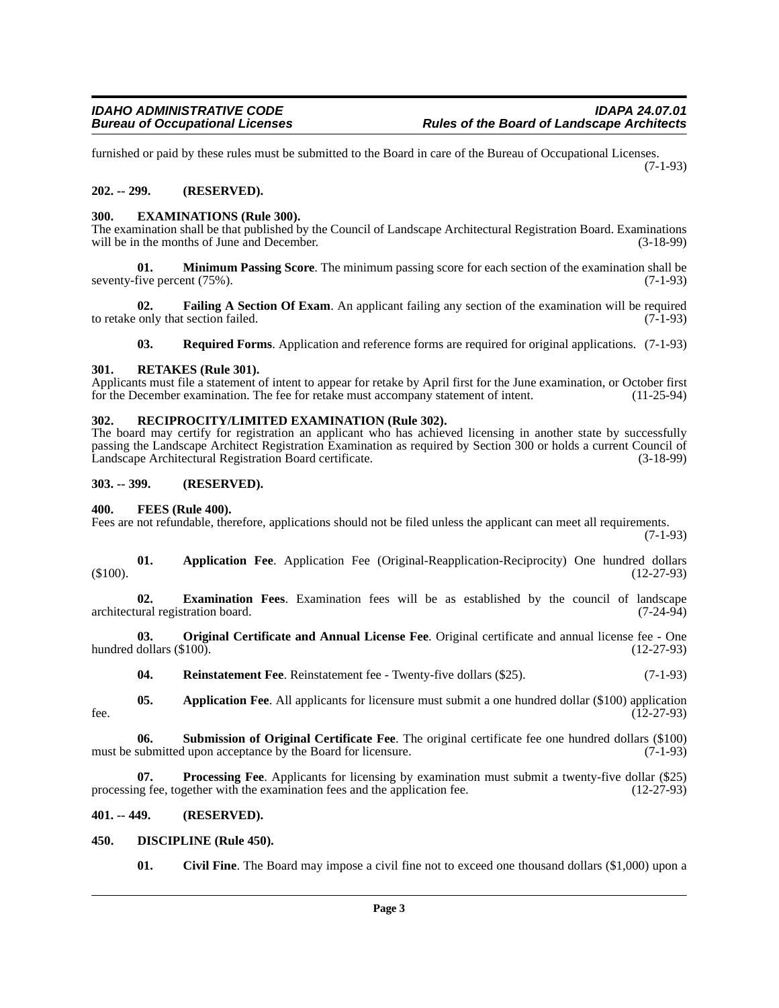furnished or paid by these rules must be submitted to the Board in care of the Bureau of Occupational Licenses. (7-1-93)

#### <span id="page-2-0"></span>**202. -- 299. (RESERVED).**

#### <span id="page-2-1"></span>**300. EXAMINATIONS (Rule 300).**

The examination shall be that published by the Council of Landscape Architectural Registration Board. Examinations will be in the months of June and December. (3-18-99)

**01. Minimum Passing Score**. The minimum passing score for each section of the examination shall be seventy-five percent (75%). (7-1-93)

**02. Failing A Section Of Exam**. An applicant failing any section of the examination will be required only that section failed. (7-1-93) to retake only that section failed.

**03. Required Forms**. Application and reference forms are required for original applications. (7-1-93)

#### <span id="page-2-2"></span>**301. RETAKES (Rule 301).**

Applicants must file a statement of intent to appear for retake by April first for the June examination, or October first for the December examination. The fee for retake must accompany statement of intent. (11-25-94) for the December examination. The fee for retake must accompany statement of intent.

#### <span id="page-2-3"></span>**302. RECIPROCITY/LIMITED EXAMINATION (Rule 302).**

The board may certify for registration an applicant who has achieved licensing in another state by successfully passing the Landscape Architect Registration Examination as required by Section 300 or holds a current Council of Landscape Architectural Registration Board certificate. (3-18-99)

#### <span id="page-2-4"></span>**303. -- 399. (RESERVED).**

#### <span id="page-2-5"></span>**400. FEES (Rule 400).**

Fees are not refundable, therefore, applications should not be filed unless the applicant can meet all requirements.

(7-1-93)

**01. Application Fee**. Application Fee (Original-Reapplication-Reciprocity) One hundred dollars  $(12-27-93)$ 

**02. Examination Fees**. Examination fees will be as established by the council of landscape architectural registration board.

**03. Original Certificate and Annual License Fee**. Original certificate and annual license fee - One hundred dollars  $(\$100)$ .

**04.** Reinstatement Fee. Reinstatement fee - Twenty-five dollars (\$25). (7-1-93)

**05.** Application Fee. All applicants for licensure must submit a one hundred dollar (\$100) application (12-27-93)  $f$ ee.  $(12-27-93)$ 

**06. Submission of Original Certificate Fee**. The original certificate fee one hundred dollars (\$100) must be submitted upon acceptance by the Board for licensure. (7-1-93)

**Processing Fee**. Applicants for licensing by examination must submit a twenty-five dollar (\$25) gether with the examination fees and the application fee. (12-27-93) processing fee, together with the examination fees and the application fee.

#### <span id="page-2-6"></span>**401. -- 449. (RESERVED).**

#### <span id="page-2-7"></span>**450. DISCIPLINE (Rule 450).**

**01. Civil Fine**. The Board may impose a civil fine not to exceed one thousand dollars (\$1,000) upon a